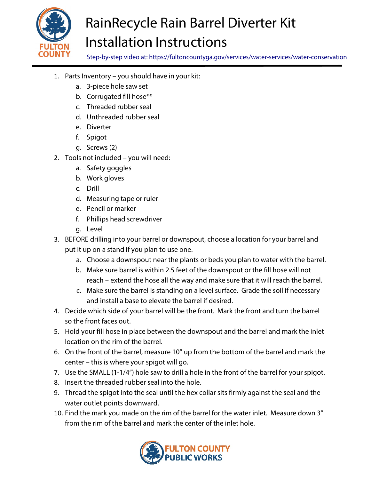

## RainRecycle Rain Barrel Diverter Kit Installation Instructions

Step-by-step video at: https://fultoncountyga.gov/services/water-services/water-conservation

- 1. Parts Inventory you should have in your kit:
	- a. 3-piece hole saw set
	- b. Corrugated fill hose\*\*
	- c. Threaded rubber seal
	- d. Unthreaded rubber seal
	- e. Diverter
	- f. Spigot
	- g. Screws (2)
- 2. Tools not included you will need:
	- a. Safety goggles
	- b. Work gloves
	- c. Drill
	- d. Measuring tape or ruler
	- e. Pencil or marker
	- f. Phillips head screwdriver
	- g. Level
- 3. BEFORE drilling into your barrel or downspout, choose a location for your barrel and put it up on a stand if you plan to use one.
	- a. Choose a downspout near the plants or beds you plan to water with the barrel.
	- b. Make sure barrel is within 2.5 feet of the downspout or the fill hose will not reach – extend the hose all the way and make sure that it will reach the barrel.
	- c. Make sure the barrel is standing on a level surface. Grade the soil if necessary and install a base to elevate the barrel if desired.
- 4. Decide which side of your barrel will be the front. Mark the front and turn the barrel so the front faces out.
- 5. Hold your fill hose in place between the downspout and the barrel and mark the inlet location on the rim of the barrel.
- 6. On the front of the barrel, measure 10" up from the bottom of the barrel and mark the center – this is where your spigot will go.
- 7. Use the SMALL (1-1/4") hole saw to drill a hole in the front of the barrel for your spigot.
- 8. Insert the threaded rubber seal into the hole.
- 9. Thread the spigot into the seal until the hex collar sits firmly against the seal and the water outlet points downward.
- 10. Find the mark you made on the rim of the barrel for the water inlet. Measure down 3" from the rim of the barrel and mark the center of the inlet hole.